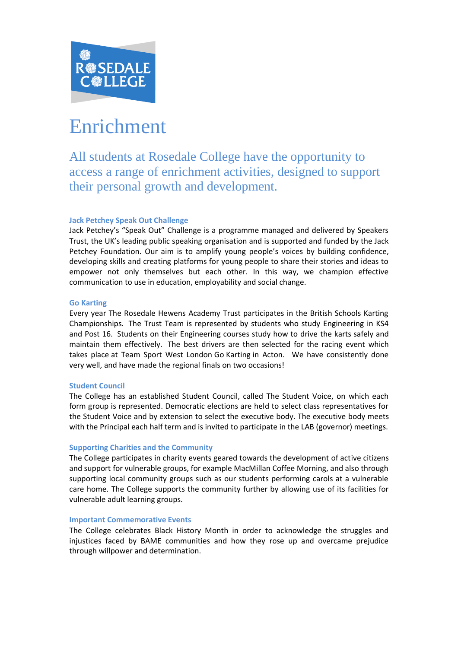

# Enrichment

All students at Rosedale College have the opportunity to access a range of enrichment activities, designed to support their personal growth and development.

## **Jack Petchey Speak Out Challenge**

Jack Petchey's "Speak Out" Challenge is a programme managed and delivered by Speakers Trust, the UK's leading public speaking organisation and is supported and funded by the Jack Petchey Foundation. Our aim is to amplify young people's voices by building confidence, developing skills and creating platforms for young people to share their stories and ideas to empower not only themselves but each other. In this way, we champion effective communication to use in education, employability and social change.

## **Go Karting**

Every year The Rosedale Hewens Academy Trust participates in the British Schools Karting Championships. The Trust Team is represented by students who study Engineering in KS4 and Post 16. Students on their Engineering courses study how to drive the karts safely and maintain them effectively. The best drivers are then selected for the racing event which takes place at Team Sport West London Go Karting in Acton. We have consistently done very well, and have made the regional finals on two occasions!

## **Student Council**

The College has an established Student Council, called The Student Voice, on which each form group is represented. Democratic elections are held to select class representatives for the Student Voice and by extension to select the executive body. The executive body meets with the Principal each half term and is invited to participate in the LAB (governor) meetings.

## **Supporting Charities and the Community**

The College participates in charity events geared towards the development of active citizens and support for vulnerable groups, for example MacMillan Coffee Morning, and also through supporting local community groups such as our students performing carols at a vulnerable care home. The College supports the community further by allowing use of its facilities for vulnerable adult learning groups.

### **Important Commemorative Events**

The College celebrates Black History Month in order to acknowledge the struggles and injustices faced by BAME communities and how they rose up and overcame prejudice through willpower and determination.